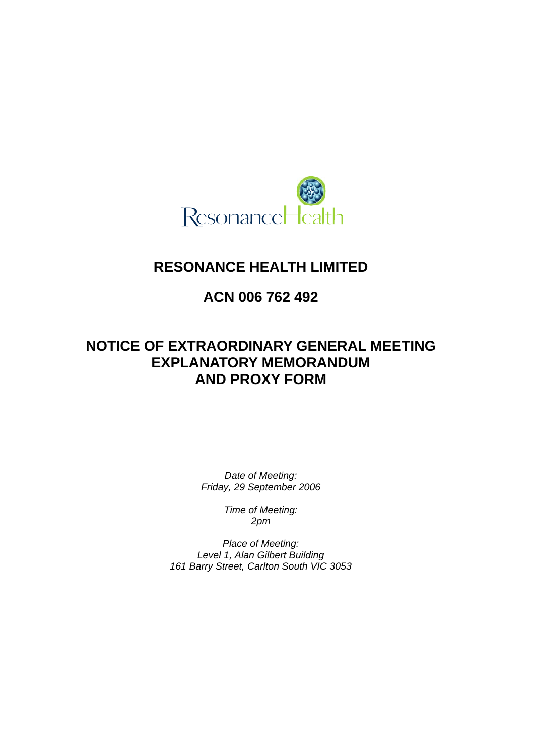

# **RESONANCE HEALTH LIMITED**

# **ACN 006 762 492**

# **NOTICE OF EXTRAORDINARY GENERAL MEETING EXPLANATORY MEMORANDUM AND PROXY FORM**

*Date of Meeting: Friday, 29 September 2006* 

> *Time of Meeting: 2pm*

*Place of Meeting: Level 1, Alan Gilbert Building 161 Barry Street, Carlton South VIC 3053*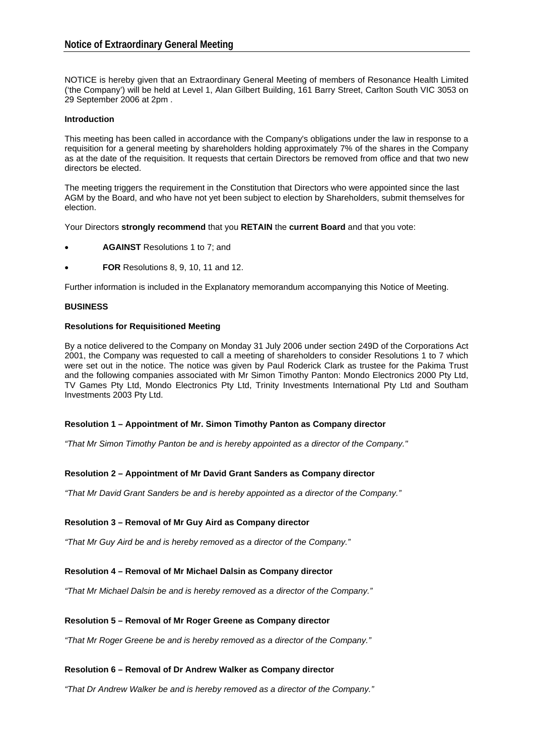NOTICE is hereby given that an Extraordinary General Meeting of members of Resonance Health Limited ('the Company') will be held at Level 1, Alan Gilbert Building, 161 Barry Street, Carlton South VIC 3053 on 29 September 2006 at 2pm .

# **Introduction**

This meeting has been called in accordance with the Company's obligations under the law in response to a requisition for a general meeting by shareholders holding approximately 7% of the shares in the Company as at the date of the requisition. It requests that certain Directors be removed from office and that two new directors be elected.

The meeting triggers the requirement in the Constitution that Directors who were appointed since the last AGM by the Board, and who have not yet been subject to election by Shareholders, submit themselves for election.

Your Directors **strongly recommend** that you **RETAIN** the **current Board** and that you vote:

- **AGAINST** Resolutions 1 to 7; and
- **FOR** Resolutions 8, 9, 10, 11 and 12.

Further information is included in the Explanatory memorandum accompanying this Notice of Meeting.

#### **BUSINESS**

#### **Resolutions for Requisitioned Meeting**

By a notice delivered to the Company on Monday 31 July 2006 under section 249D of the Corporations Act 2001, the Company was requested to call a meeting of shareholders to consider Resolutions 1 to 7 which were set out in the notice. The notice was given by Paul Roderick Clark as trustee for the Pakima Trust and the following companies associated with Mr Simon Timothy Panton: Mondo Electronics 2000 Pty Ltd, TV Games Pty Ltd, Mondo Electronics Pty Ltd, Trinity Investments International Pty Ltd and Southam Investments 2003 Pty Ltd.

# **Resolution 1 – Appointment of Mr. Simon Timothy Panton as Company director**

*"That Mr Simon Timothy Panton be and is hereby appointed as a director of the Company."* 

# **Resolution 2 – Appointment of Mr David Grant Sanders as Company director**

*"That Mr David Grant Sanders be and is hereby appointed as a director of the Company."* 

#### **Resolution 3 – Removal of Mr Guy Aird as Company director**

*"That Mr Guy Aird be and is hereby removed as a director of the Company."* 

# **Resolution 4 – Removal of Mr Michael Dalsin as Company director**

*"That Mr Michael Dalsin be and is hereby removed as a director of the Company."* 

# **Resolution 5 – Removal of Mr Roger Greene as Company director**

*"That Mr Roger Greene be and is hereby removed as a director of the Company."* 

# **Resolution 6 – Removal of Dr Andrew Walker as Company director**

*"That Dr Andrew Walker be and is hereby removed as a director of the Company."*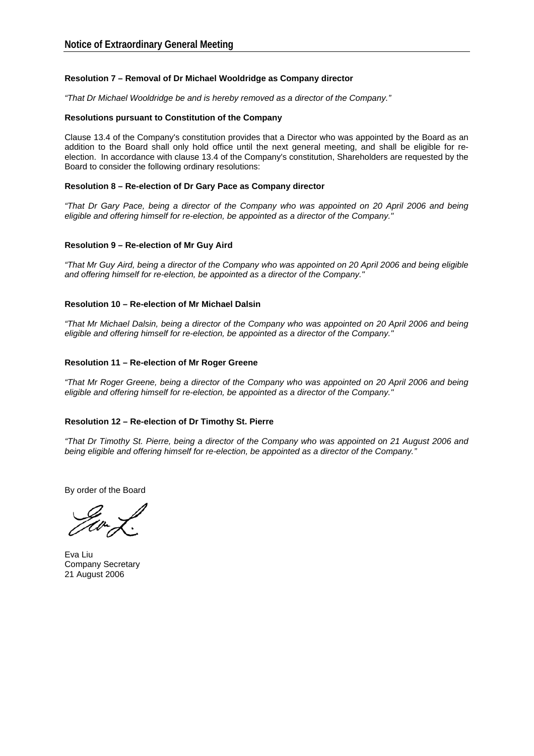#### **Resolution 7 – Removal of Dr Michael Wooldridge as Company director**

*"That Dr Michael Wooldridge be and is hereby removed as a director of the Company."* 

#### **Resolutions pursuant to Constitution of the Company**

Clause 13.4 of the Company's constitution provides that a Director who was appointed by the Board as an addition to the Board shall only hold office until the next general meeting, and shall be eligible for reelection. In accordance with clause 13.4 of the Company's constitution, Shareholders are requested by the Board to consider the following ordinary resolutions:

#### **Resolution 8 – Re-election of Dr Gary Pace as Company director**

*"That Dr Gary Pace, being a director of the Company who was appointed on 20 April 2006 and being eligible and offering himself for re-election, be appointed as a director of the Company."*

#### **Resolution 9 – Re-election of Mr Guy Aird**

*"That Mr Guy Aird, being a director of the Company who was appointed on 20 April 2006 and being eligible and offering himself for re-election, be appointed as a director of the Company."*

#### **Resolution 10 – Re-election of Mr Michael Dalsin**

*"That Mr Michael Dalsin, being a director of the Company who was appointed on 20 April 2006 and being eligible and offering himself for re-election, be appointed as a director of the Company."*

#### **Resolution 11 – Re-election of Mr Roger Greene**

*"That Mr Roger Greene, being a director of the Company who was appointed on 20 April 2006 and being eligible and offering himself for re-election, be appointed as a director of the Company."*

#### **Resolution 12 – Re-election of Dr Timothy St. Pierre**

*"That Dr Timothy St. Pierre, being a director of the Company who was appointed on 21 August 2006 and being eligible and offering himself for re-election, be appointed as a director of the Company."* 

By order of the Board

Eva Liu Company Secretary 21 August 2006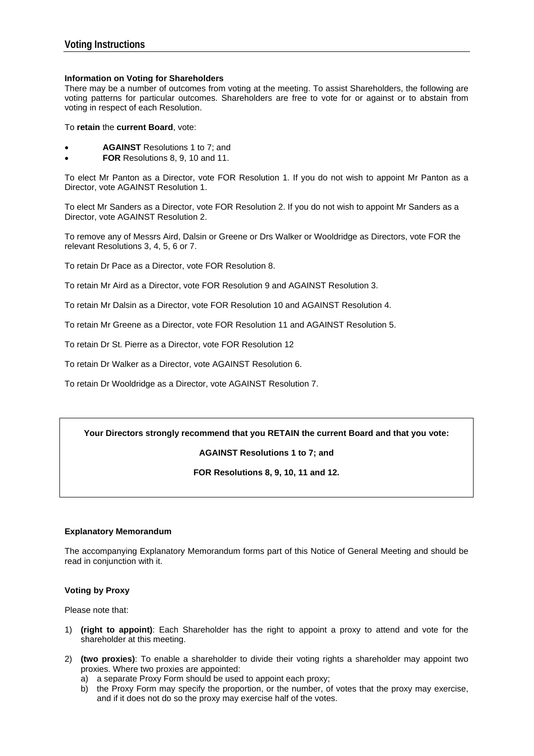# **Information on Voting for Shareholders**

There may be a number of outcomes from voting at the meeting. To assist Shareholders, the following are voting patterns for particular outcomes. Shareholders are free to vote for or against or to abstain from voting in respect of each Resolution.

To **retain** the **current Board**, vote:

- **AGAINST** Resolutions 1 to 7; and
- **FOR** Resolutions 8, 9, 10 and 11.

To elect Mr Panton as a Director, vote FOR Resolution 1. If you do not wish to appoint Mr Panton as a Director, vote AGAINST Resolution 1.

To elect Mr Sanders as a Director, vote FOR Resolution 2. If you do not wish to appoint Mr Sanders as a Director, vote AGAINST Resolution 2.

To remove any of Messrs Aird, Dalsin or Greene or Drs Walker or Wooldridge as Directors, vote FOR the relevant Resolutions 3, 4, 5, 6 or 7.

To retain Dr Pace as a Director, vote FOR Resolution 8.

To retain Mr Aird as a Director, vote FOR Resolution 9 and AGAINST Resolution 3.

To retain Mr Dalsin as a Director, vote FOR Resolution 10 and AGAINST Resolution 4.

To retain Mr Greene as a Director, vote FOR Resolution 11 and AGAINST Resolution 5.

To retain Dr St. Pierre as a Director, vote FOR Resolution 12

To retain Dr Walker as a Director, vote AGAINST Resolution 6.

To retain Dr Wooldridge as a Director, vote AGAINST Resolution 7.

# **Your Directors strongly recommend that you RETAIN the current Board and that you vote:**

**AGAINST Resolutions 1 to 7; and** 

**FOR Resolutions 8, 9, 10, 11 and 12.** 

#### **Explanatory Memorandum**

The accompanying Explanatory Memorandum forms part of this Notice of General Meeting and should be read in conjunction with it.

# **Voting by Proxy**

Please note that:

- 1) **(right to appoint)**: Each Shareholder has the right to appoint a proxy to attend and vote for the shareholder at this meeting.
- 2) **(two proxies)**: To enable a shareholder to divide their voting rights a shareholder may appoint two proxies. Where two proxies are appointed:
	- a) a separate Proxy Form should be used to appoint each proxy;
	- b) the Proxy Form may specify the proportion, or the number, of votes that the proxy may exercise, and if it does not do so the proxy may exercise half of the votes.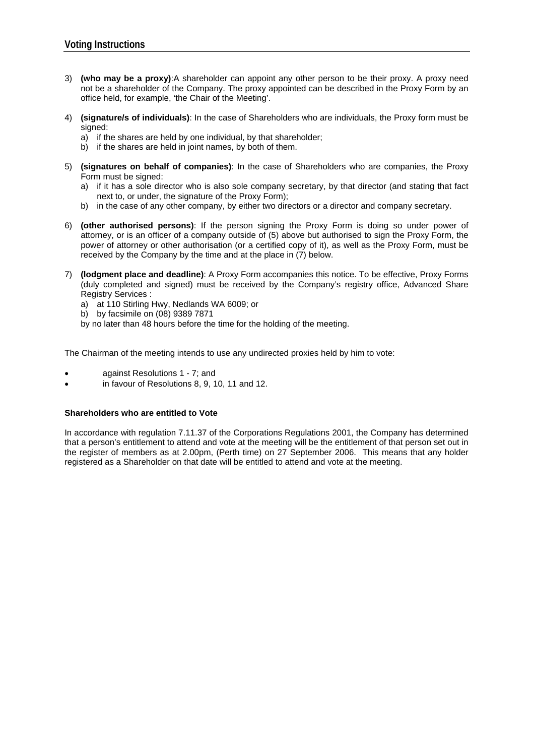- 3) **(who may be a proxy)**:A shareholder can appoint any other person to be their proxy. A proxy need not be a shareholder of the Company. The proxy appointed can be described in the Proxy Form by an office held, for example, 'the Chair of the Meeting'.
- 4) **(signature/s of individuals)**: In the case of Shareholders who are individuals, the Proxy form must be signed:
	- a) if the shares are held by one individual, by that shareholder;
	- b) if the shares are held in joint names, by both of them.
- 5) **(signatures on behalf of companies)**: In the case of Shareholders who are companies, the Proxy Form must be signed:
	- a) if it has a sole director who is also sole company secretary, by that director (and stating that fact next to, or under, the signature of the Proxy Form);
	- b) in the case of any other company, by either two directors or a director and company secretary.
- 6) **(other authorised persons)**: If the person signing the Proxy Form is doing so under power of attorney, or is an officer of a company outside of (5) above but authorised to sign the Proxy Form, the power of attorney or other authorisation (or a certified copy of it), as well as the Proxy Form, must be received by the Company by the time and at the place in (7) below.
- 7) **(lodgment place and deadline)**: A Proxy Form accompanies this notice. To be effective, Proxy Forms (duly completed and signed) must be received by the Company's registry office, Advanced Share Registry Services :
	- a) at 110 Stirling Hwy, Nedlands WA 6009; or
	- b) by facsimile on (08) 9389 7871
	- by no later than 48 hours before the time for the holding of the meeting.

The Chairman of the meeting intends to use any undirected proxies held by him to vote:

- against Resolutions 1 7; and
- in favour of Resolutions 8, 9, 10, 11 and 12.

# **Shareholders who are entitled to Vote**

In accordance with regulation 7.11.37 of the Corporations Regulations 2001, the Company has determined that a person's entitlement to attend and vote at the meeting will be the entitlement of that person set out in the register of members as at 2.00pm, (Perth time) on 27 September 2006. This means that any holder registered as a Shareholder on that date will be entitled to attend and vote at the meeting.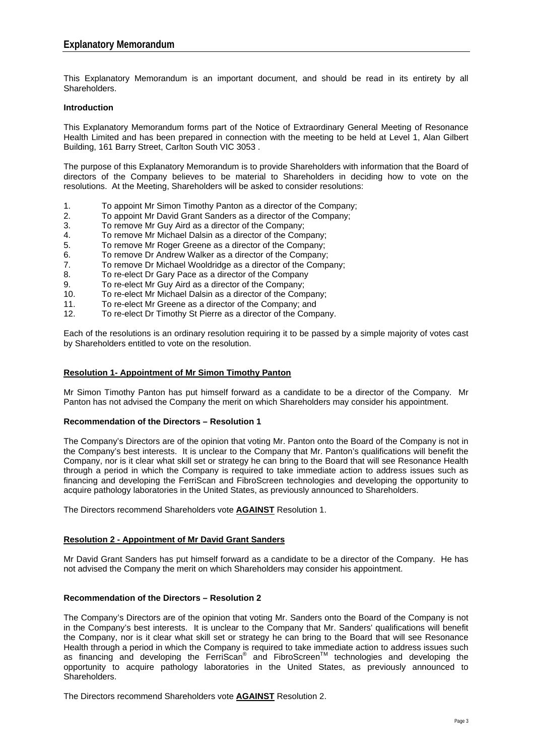This Explanatory Memorandum is an important document, and should be read in its entirety by all Shareholders.

#### **Introduction**

This Explanatory Memorandum forms part of the Notice of Extraordinary General Meeting of Resonance Health Limited and has been prepared in connection with the meeting to be held at Level 1, Alan Gilbert Building, 161 Barry Street, Carlton South VIC 3053 .

The purpose of this Explanatory Memorandum is to provide Shareholders with information that the Board of directors of the Company believes to be material to Shareholders in deciding how to vote on the resolutions. At the Meeting, Shareholders will be asked to consider resolutions:

- 1. To appoint Mr Simon Timothy Panton as a director of the Company;
- 2. To appoint Mr David Grant Sanders as a director of the Company;
- 3. To remove Mr Guy Aird as a director of the Company;
- 4. To remove Mr Michael Dalsin as a director of the Company;
- 5. To remove Mr Roger Greene as a director of the Company;
- 6. To remove Dr Andrew Walker as a director of the Company;
- 7. To remove Dr Michael Wooldridge as a director of the Company;
- 8. To re-elect Dr Gary Pace as a director of the Company
- 9. To re-elect Mr Guy Aird as a director of the Company;
- 10. To re-elect Mr Michael Dalsin as a director of the Company;
- 11. To re-elect Mr Greene as a director of the Company; and
- 12. To re-elect Dr Timothy St Pierre as a director of the Company.

Each of the resolutions is an ordinary resolution requiring it to be passed by a simple majority of votes cast by Shareholders entitled to vote on the resolution.

#### **Resolution 1- Appointment of Mr Simon Timothy Panton**

Mr Simon Timothy Panton has put himself forward as a candidate to be a director of the Company. Mr Panton has not advised the Company the merit on which Shareholders may consider his appointment.

#### **Recommendation of the Directors – Resolution 1**

The Company's Directors are of the opinion that voting Mr. Panton onto the Board of the Company is not in the Company's best interests. It is unclear to the Company that Mr. Panton's qualifications will benefit the Company, nor is it clear what skill set or strategy he can bring to the Board that will see Resonance Health through a period in which the Company is required to take immediate action to address issues such as financing and developing the FerriScan and FibroScreen technologies and developing the opportunity to acquire pathology laboratories in the United States, as previously announced to Shareholders.

The Directors recommend Shareholders vote **AGAINST** Resolution 1.

# **Resolution 2 - Appointment of Mr David Grant Sanders**

Mr David Grant Sanders has put himself forward as a candidate to be a director of the Company. He has not advised the Company the merit on which Shareholders may consider his appointment.

# **Recommendation of the Directors – Resolution 2**

The Company's Directors are of the opinion that voting Mr. Sanders onto the Board of the Company is not in the Company's best interests. It is unclear to the Company that Mr. Sanders' qualifications will benefit the Company, nor is it clear what skill set or strategy he can bring to the Board that will see Resonance Health through a period in which the Company is required to take immediate action to address issues such as financing and developing the FerriScan® and FibroScreen<sup>™</sup> technologies and developing the opportunity to acquire pathology laboratories in the United States, as previously announced to Shareholders.

The Directors recommend Shareholders vote **AGAINST** Resolution 2.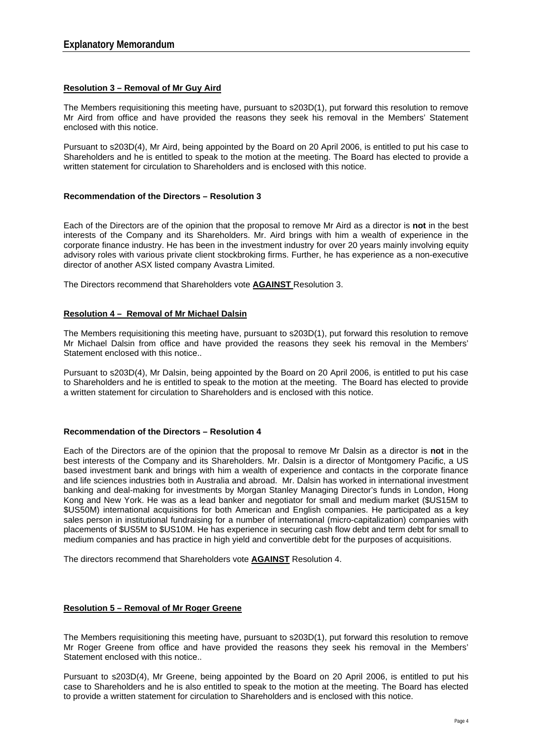#### **Resolution 3 – Removal of Mr Guy Aird**

The Members requisitioning this meeting have, pursuant to s203D(1), put forward this resolution to remove Mr Aird from office and have provided the reasons they seek his removal in the Members' Statement enclosed with this notice.

Pursuant to s203D(4), Mr Aird, being appointed by the Board on 20 April 2006, is entitled to put his case to Shareholders and he is entitled to speak to the motion at the meeting. The Board has elected to provide a written statement for circulation to Shareholders and is enclosed with this notice.

#### **Recommendation of the Directors – Resolution 3**

Each of the Directors are of the opinion that the proposal to remove Mr Aird as a director is **not** in the best interests of the Company and its Shareholders. Mr. Aird brings with him a wealth of experience in the corporate finance industry. He has been in the investment industry for over 20 years mainly involving equity advisory roles with various private client stockbroking firms. Further, he has experience as a non-executive director of another ASX listed company Avastra Limited.

The Directors recommend that Shareholders vote **AGAINST** Resolution 3.

#### **Resolution 4 – Removal of Mr Michael Dalsin**

The Members requisitioning this meeting have, pursuant to s203D(1), put forward this resolution to remove Mr Michael Dalsin from office and have provided the reasons they seek his removal in the Members' Statement enclosed with this notice..

Pursuant to s203D(4), Mr Dalsin, being appointed by the Board on 20 April 2006, is entitled to put his case to Shareholders and he is entitled to speak to the motion at the meeting. The Board has elected to provide a written statement for circulation to Shareholders and is enclosed with this notice.

#### **Recommendation of the Directors – Resolution 4**

Each of the Directors are of the opinion that the proposal to remove Mr Dalsin as a director is **not** in the best interests of the Company and its Shareholders. Mr. Dalsin is a director of Montgomery Pacific, a US based investment bank and brings with him a wealth of experience and contacts in the corporate finance and life sciences industries both in Australia and abroad. Mr. Dalsin has worked in international investment banking and deal-making for investments by Morgan Stanley Managing Director's funds in London, Hong Kong and New York. He was as a lead banker and negotiator for small and medium market (\$US15M to \$US50M) international acquisitions for both American and English companies. He participated as a key sales person in institutional fundraising for a number of international (micro-capitalization) companies with placements of \$US5M to \$US10M. He has experience in securing cash flow debt and term debt for small to medium companies and has practice in high yield and convertible debt for the purposes of acquisitions.

The directors recommend that Shareholders vote **AGAINST** Resolution 4.

#### **Resolution 5 – Removal of Mr Roger Greene**

The Members requisitioning this meeting have, pursuant to s203D(1), put forward this resolution to remove Mr Roger Greene from office and have provided the reasons they seek his removal in the Members' Statement enclosed with this notice..

Pursuant to s203D(4), Mr Greene, being appointed by the Board on 20 April 2006, is entitled to put his case to Shareholders and he is also entitled to speak to the motion at the meeting. The Board has elected to provide a written statement for circulation to Shareholders and is enclosed with this notice.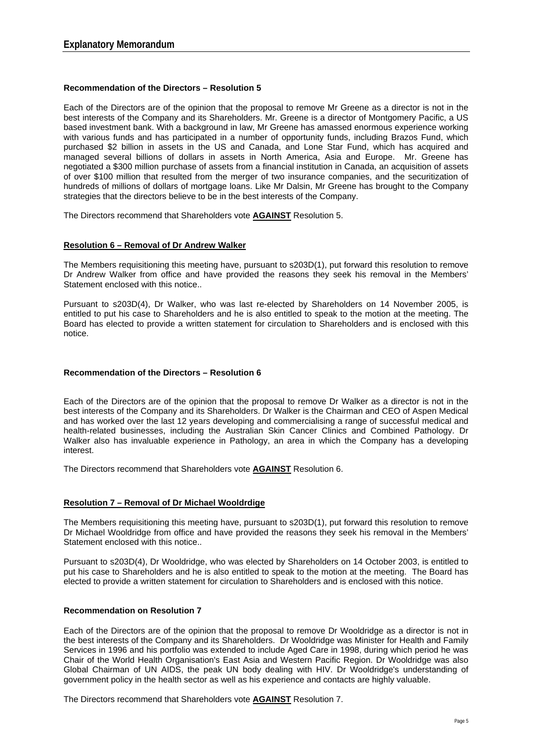# **Recommendation of the Directors – Resolution 5**

Each of the Directors are of the opinion that the proposal to remove Mr Greene as a director is not in the best interests of the Company and its Shareholders. Mr. Greene is a director of Montgomery Pacific, a US based investment bank. With a background in law, Mr Greene has amassed enormous experience working with various funds and has participated in a number of opportunity funds, including Brazos Fund, which purchased \$2 billion in assets in the US and Canada, and Lone Star Fund, which has acquired and managed several billions of dollars in assets in North America, Asia and Europe. Mr. Greene has negotiated a \$300 million purchase of assets from a financial institution in Canada, an acquisition of assets of over \$100 million that resulted from the merger of two insurance companies, and the securitization of hundreds of millions of dollars of mortgage loans. Like Mr Dalsin, Mr Greene has brought to the Company strategies that the directors believe to be in the best interests of the Company.

The Directors recommend that Shareholders vote **AGAINST** Resolution 5.

# **Resolution 6 – Removal of Dr Andrew Walker**

The Members requisitioning this meeting have, pursuant to s203D(1), put forward this resolution to remove Dr Andrew Walker from office and have provided the reasons they seek his removal in the Members' Statement enclosed with this notice..

Pursuant to s203D(4), Dr Walker, who was last re-elected by Shareholders on 14 November 2005, is entitled to put his case to Shareholders and he is also entitled to speak to the motion at the meeting. The Board has elected to provide a written statement for circulation to Shareholders and is enclosed with this notice.

# **Recommendation of the Directors – Resolution 6**

Each of the Directors are of the opinion that the proposal to remove Dr Walker as a director is not in the best interests of the Company and its Shareholders. Dr Walker is the Chairman and CEO of Aspen Medical and has worked over the last 12 years developing and commercialising a range of successful medical and health-related businesses, including the Australian Skin Cancer Clinics and Combined Pathology. Dr Walker also has invaluable experience in Pathology, an area in which the Company has a developing interest.

The Directors recommend that Shareholders vote **AGAINST** Resolution 6.

# **Resolution 7 – Removal of Dr Michael Wooldrdige**

The Members requisitioning this meeting have, pursuant to s203D(1), put forward this resolution to remove Dr Michael Wooldridge from office and have provided the reasons they seek his removal in the Members' Statement enclosed with this notice..

Pursuant to s203D(4), Dr Wooldridge, who was elected by Shareholders on 14 October 2003, is entitled to put his case to Shareholders and he is also entitled to speak to the motion at the meeting. The Board has elected to provide a written statement for circulation to Shareholders and is enclosed with this notice.

# **Recommendation on Resolution 7**

Each of the Directors are of the opinion that the proposal to remove Dr Wooldridge as a director is not in the best interests of the Company and its Shareholders. Dr Wooldridge was Minister for Health and Family Services in 1996 and his portfolio was extended to include Aged Care in 1998, during which period he was Chair of the World Health Organisation's East Asia and Western Pacific Region. Dr Wooldridge was also Global Chairman of UN AIDS, the peak UN body dealing with HIV. Dr Wooldridge's understanding of government policy in the health sector as well as his experience and contacts are highly valuable.

The Directors recommend that Shareholders vote **AGAINST** Resolution 7.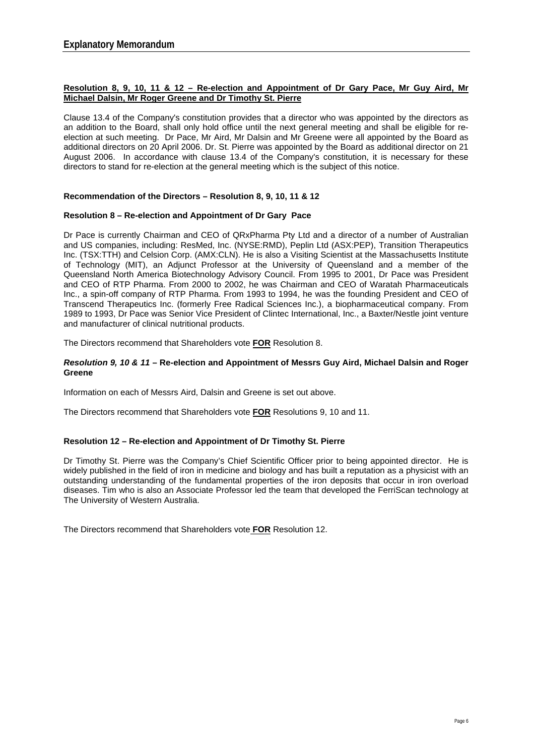# **Resolution 8, 9, 10, 11 & 12 – Re-election and Appointment of Dr Gary Pace, Mr Guy Aird, Mr Michael Dalsin, Mr Roger Greene and Dr Timothy St. Pierre**

Clause 13.4 of the Company's constitution provides that a director who was appointed by the directors as an addition to the Board, shall only hold office until the next general meeting and shall be eligible for reelection at such meeting. Dr Pace, Mr Aird, Mr Dalsin and Mr Greene were all appointed by the Board as additional directors on 20 April 2006. Dr. St. Pierre was appointed by the Board as additional director on 21 August 2006. In accordance with clause 13.4 of the Company's constitution, it is necessary for these directors to stand for re-election at the general meeting which is the subject of this notice.

# **Recommendation of the Directors – Resolution 8, 9, 10, 11 & 12**

# **Resolution 8 – Re-election and Appointment of Dr Gary Pace**

Dr Pace is currently Chairman and CEO of QRxPharma Pty Ltd and a director of a number of Australian and US companies, including: ResMed, Inc. (NYSE:RMD), Peplin Ltd (ASX:PEP), Transition Therapeutics Inc. (TSX:TTH) and Celsion Corp. (AMX:CLN). He is also a Visiting Scientist at the Massachusetts Institute of Technology (MIT), an Adjunct Professor at the University of Queensland and a member of the Queensland North America Biotechnology Advisory Council. From 1995 to 2001, Dr Pace was President and CEO of RTP Pharma. From 2000 to 2002, he was Chairman and CEO of Waratah Pharmaceuticals Inc., a spin-off company of RTP Pharma. From 1993 to 1994, he was the founding President and CEO of Transcend Therapeutics Inc. (formerly Free Radical Sciences Inc.), a biopharmaceutical company. From 1989 to 1993, Dr Pace was Senior Vice President of Clintec International, Inc., a Baxter/Nestle joint venture and manufacturer of clinical nutritional products.

The Directors recommend that Shareholders vote **FOR** Resolution 8.

# *Resolution 9, 10 & 11* **– Re-election and Appointment of Messrs Guy Aird, Michael Dalsin and Roger Greene**

Information on each of Messrs Aird, Dalsin and Greene is set out above.

The Directors recommend that Shareholders vote **FOR** Resolutions 9, 10 and 11.

# **Resolution 12 – Re-election and Appointment of Dr Timothy St. Pierre**

Dr Timothy St. Pierre was the Company's Chief Scientific Officer prior to being appointed director. He is widely published in the field of iron in medicine and biology and has built a reputation as a physicist with an outstanding understanding of the fundamental properties of the iron deposits that occur in iron overload diseases. Tim who is also an Associate Professor led the team that developed the FerriScan technology at The University of Western Australia.

The Directors recommend that Shareholders vote **FOR** Resolution 12.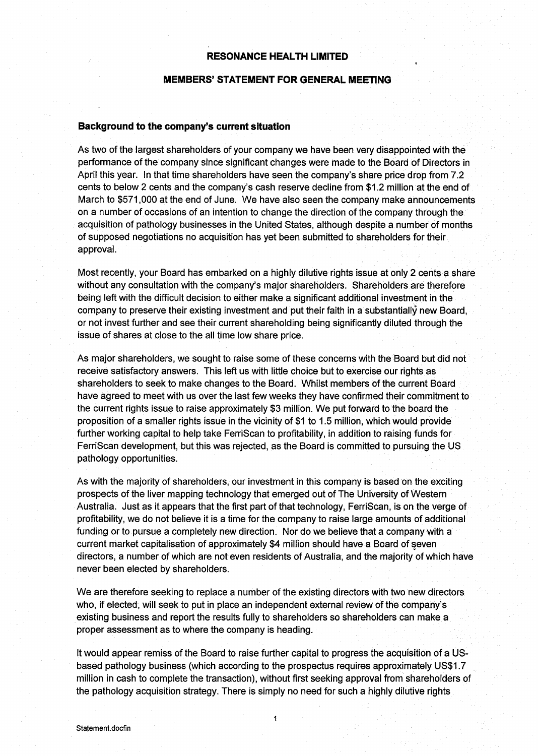# **RESONANCE HEALTH LIMITED**

# **MEMBERS' STATEMENT FOR GENERAL MEETING**

#### Background to the company's current situation

As two of the largest shareholders of your company we have been very disappointed with the performance of the company since significant changes were made to the Board of Directors in April this year. In that time shareholders have seen the company's share price drop from 7.2 cents to below 2 cents and the company's cash reserve decline from \$1.2 million at the end of March to \$571,000 at the end of June. We have also seen the company make announcements on a number of occasions of an intention to change the direction of the company through the acquisition of pathology businesses in the United States, although despite a number of months of supposed negotiations no acquisition has yet been submitted to shareholders for their approval.

Most recently, your Board has embarked on a highly dilutive rights issue at only 2 cents a share without any consultation with the company's major shareholders. Shareholders are therefore being left with the difficult decision to either make a significant additional investment in the company to preserve their existing investment and put their faith in a substantially new Board. or not invest further and see their current shareholding being significantly diluted through the issue of shares at close to the all time low share price.

As major shareholders, we sought to raise some of these concerns with the Board but did not receive satisfactory answers. This left us with little choice but to exercise our rights as shareholders to seek to make changes to the Board. Whilst members of the current Board have agreed to meet with us over the last few weeks they have confirmed their commitment to the current rights issue to raise approximately \$3 million. We put forward to the board the proposition of a smaller rights issue in the vicinity of \$1 to 1.5 million, which would provide further working capital to help take FerriScan to profitability, in addition to raising funds for FerriScan development, but this was rejected, as the Board is committed to pursuing the US pathology opportunities.

As with the majority of shareholders, our investment in this company is based on the exciting prospects of the liver mapping technology that emerged out of The University of Western Australia. Just as it appears that the first part of that technology, FerriScan, is on the verge of profitability, we do not believe it is a time for the company to raise large amounts of additional funding or to pursue a completely new direction. Nor do we believe that a company with a current market capitalisation of approximately \$4 million should have a Board of seven directors, a number of which are not even residents of Australia, and the majority of which have never been elected by shareholders.

We are therefore seeking to replace a number of the existing directors with two new directors who, if elected, will seek to put in place an independent external review of the company's existing business and report the results fully to shareholders so shareholders can make a proper assessment as to where the company is heading.

It would appear remiss of the Board to raise further capital to progress the acquisition of a USbased pathology business (which according to the prospectus requires approximately US\$1.7 million in cash to complete the transaction), without first seeking approval from shareholders of the pathology acquisition strategy. There is simply no need for such a highly dilutive rights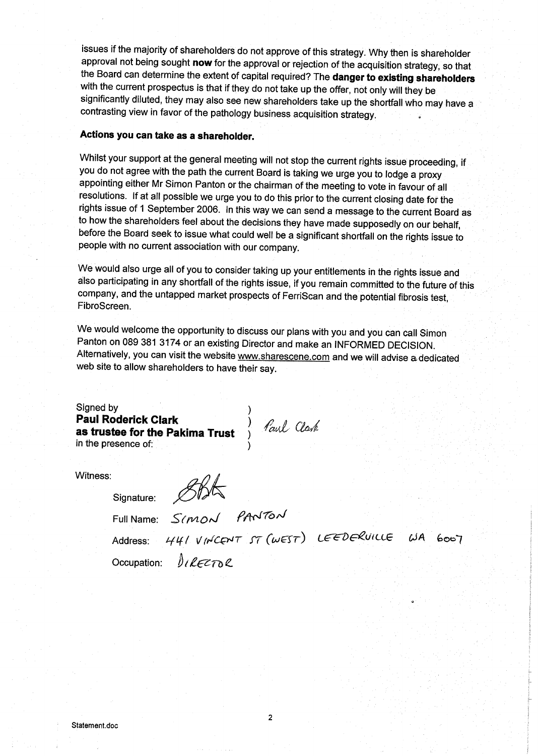issues if the majority of shareholders do not approve of this strategy. Why then is shareholder approval not being sought now for the approval or rejection of the acquisition strategy, so that the Board can determine the extent of capital required? The danger to existing shareholders with the current prospectus is that if they do not take up the offer, not only will they be significantly diluted, they may also see new shareholders take up the shortfall who may have a contrasting view in favor of the pathology business acquisition strategy.

# Actions you can take as a shareholder.

Whilst your support at the general meeting will not stop the current rights issue proceeding, if you do not agree with the path the current Board is taking we urge you to lodge a proxy appointing either Mr Simon Panton or the chairman of the meeting to vote in favour of all resolutions. If at all possible we urge you to do this prior to the current closing date for the rights issue of 1 September 2006. In this way we can send a message to the current Board as to how the shareholders feel about the decisions they have made supposedly on our behalf, before the Board seek to issue what could well be a significant shortfall on the rights issue to people with no current association with our company.

We would also urge all of you to consider taking up your entitlements in the rights issue and also participating in any shortfall of the rights issue, if you remain committed to the future of this company, and the untapped market prospects of FerriScan and the potential fibrosis test, FibroScreen.

We would welcome the opportunity to discuss our plans with you and you can call Simon Panton on 089 381 3174 or an existing Director and make an INFORMED DECISION. Alternatively, you can visit the website www.sharescene.com and we will advise a dedicated web site to allow shareholders to have their say.

Signed by **Example 3 Section 1.4 Section 1.4 Section 1.4 Section 1.4 Section 1.4 Section 1.4 Section 1.4 Section 1.4 Section 1.4 Section 1.4 Section 1.4 Section 1.4 Section 1.4 Section 1.4 Section 1.4 Section 1.4 Section 1.4 Sectio** 

Witness:

Signature: STAG<br>Full Name: SIMON PANTON<br>Address: 441 VINCENT ST (WEST) LEEDERVILLE WA 6007 Occupation: *DIRFETAP*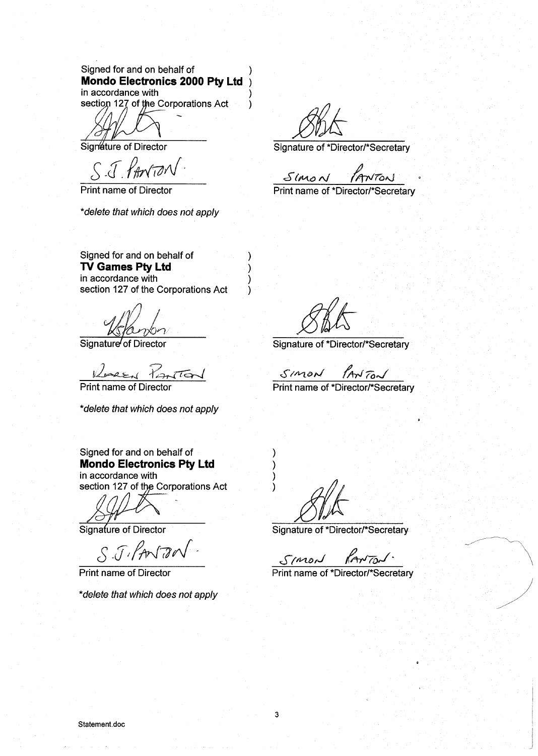# Signed for and on behalf of Mondo Electronics 2000 Pty Ltd in accordance with

section 127 of the Corporations Act

Signature of Director

S.J. PANTO

**Print name of Director** 

\*delete that which does not apply

Signed for and on behalf of TV Games Pty Ltd in accordance with section 127 of the Corporations Act

Signature of Director

Resear Parto Print name of Director

\*delete that which does not apply

Signed for and on behalf of **Mondo Electronics Pty Ltd** 

in accordance with section 127 of the Corporations Act

Signature of Director

S.J.PANTON

**Print name of Director** 

\*delete that which does not apply

 $\lambda$ 

 $\lambda$ 

 $\lambda$ 

 $\mathcal{E}$ 

١

Signature of \*Director/\*Secretary

 $Smod$ tNTON

Print name of \*Director/\*Secretary

Signature of \*Director/\*Secretary

SIMON PANTON

Print name of \*Director/\*Secretary

Signature of \*Director/\*Secretary

 $km\pi/$ Simon

Print name of \*Director/\*Secretary

Υ

١

١

 $\lambda$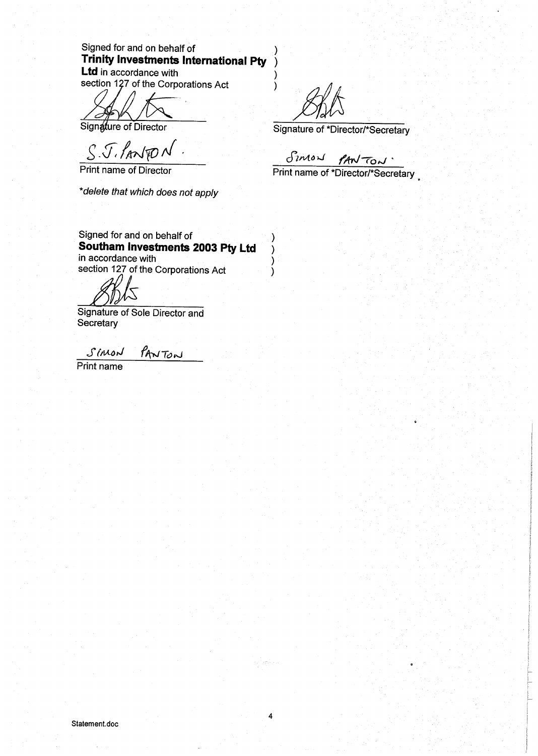Signed for and on behalf of Trinity Investments International Pty **Ltd** in accordance with

section 127 of the Corporations Act

Signature of Director

S. J. PANTON

Print name of Director

\*delete that which does not apply

Signed for and on behalf of Southam Investments 2003 Pty Ltd in accordance with section 127 of the Corporations Act

Signature of Sole Director and Secretary

SIMON PANTON

Print name

 $\lambda$ 

)

 $\mathcal{E}$ 

١.

 $\lambda$ 

 $\lambda$ 

 $\lambda$ 

Signature of \*Director/\*Secretary

Simon PANTON.

Print name of \*Director/\*Secretary

ng apina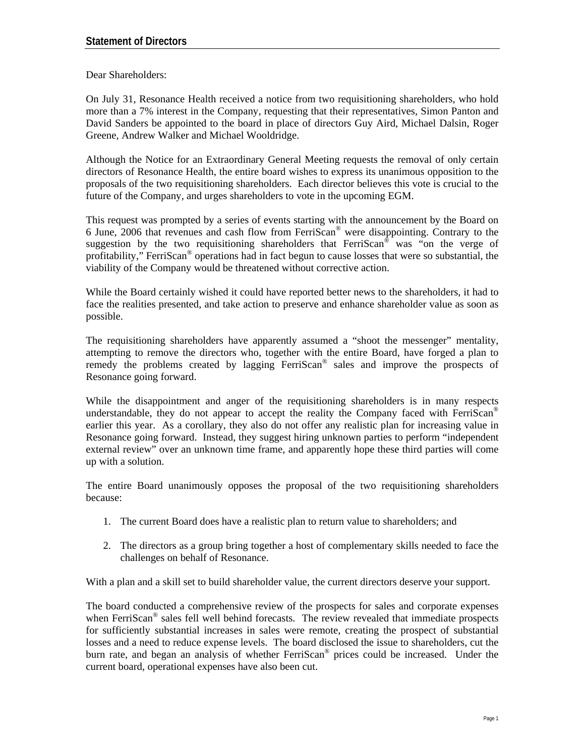Dear Shareholders:

On July 31, Resonance Health received a notice from two requisitioning shareholders, who hold more than a 7% interest in the Company, requesting that their representatives, Simon Panton and David Sanders be appointed to the board in place of directors Guy Aird, Michael Dalsin, Roger Greene, Andrew Walker and Michael Wooldridge.

Although the Notice for an Extraordinary General Meeting requests the removal of only certain directors of Resonance Health, the entire board wishes to express its unanimous opposition to the proposals of the two requisitioning shareholders. Each director believes this vote is crucial to the future of the Company, and urges shareholders to vote in the upcoming EGM.

This request was prompted by a series of events starting with the announcement by the Board on 6 June, 2006 that revenues and cash flow from FerriScan® were disappointing. Contrary to the suggestion by the two requisitioning shareholders that  $FerriScan<sup>®</sup>$  was "on the verge of profitability," FerriScan® operations had in fact begun to cause losses that were so substantial, the viability of the Company would be threatened without corrective action.

While the Board certainly wished it could have reported better news to the shareholders, it had to face the realities presented, and take action to preserve and enhance shareholder value as soon as possible.

The requisitioning shareholders have apparently assumed a "shoot the messenger" mentality, attempting to remove the directors who, together with the entire Board, have forged a plan to remedy the problems created by lagging FerriScan® sales and improve the prospects of Resonance going forward.

While the disappointment and anger of the requisitioning shareholders is in many respects understandable, they do not appear to accept the reality the Company faced with FerriScan<sup>®</sup> earlier this year. As a corollary, they also do not offer any realistic plan for increasing value in Resonance going forward. Instead, they suggest hiring unknown parties to perform "independent external review" over an unknown time frame, and apparently hope these third parties will come up with a solution.

The entire Board unanimously opposes the proposal of the two requisitioning shareholders because:

- 1. The current Board does have a realistic plan to return value to shareholders; and
- 2. The directors as a group bring together a host of complementary skills needed to face the challenges on behalf of Resonance.

With a plan and a skill set to build shareholder value, the current directors deserve your support.

The board conducted a comprehensive review of the prospects for sales and corporate expenses when FerriScan<sup>®</sup> sales fell well behind forecasts. The review revealed that immediate prospects for sufficiently substantial increases in sales were remote, creating the prospect of substantial losses and a need to reduce expense levels. The board disclosed the issue to shareholders, cut the burn rate, and began an analysis of whether FerriScan® prices could be increased. Under the current board, operational expenses have also been cut.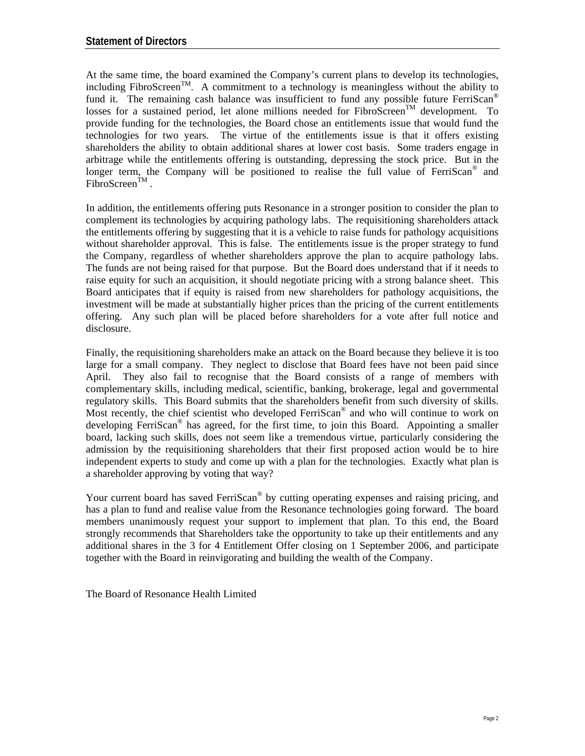At the same time, the board examined the Company's current plans to develop its technologies, including FibroScreen<sup>TM</sup>. A commitment to a technology is meaningless without the ability to fund it. The remaining cash balance was insufficient to fund any possible future FerriScan<sup>®</sup> losses for a sustained period, let alone millions needed for  $FibroScreen<sup>TM</sup>$  development. To provide funding for the technologies, the Board chose an entitlements issue that would fund the technologies for two years. The virtue of the entitlements issue is that it offers existing shareholders the ability to obtain additional shares at lower cost basis. Some traders engage in arbitrage while the entitlements offering is outstanding, depressing the stock price. But in the longer term, the Company will be positioned to realise the full value of FerriScan<sup>®</sup> and  $FibroScreen^{TM}$ .

In addition, the entitlements offering puts Resonance in a stronger position to consider the plan to complement its technologies by acquiring pathology labs. The requisitioning shareholders attack the entitlements offering by suggesting that it is a vehicle to raise funds for pathology acquisitions without shareholder approval. This is false. The entitlements issue is the proper strategy to fund the Company, regardless of whether shareholders approve the plan to acquire pathology labs. The funds are not being raised for that purpose. But the Board does understand that if it needs to raise equity for such an acquisition, it should negotiate pricing with a strong balance sheet. This Board anticipates that if equity is raised from new shareholders for pathology acquisitions, the investment will be made at substantially higher prices than the pricing of the current entitlements offering. Any such plan will be placed before shareholders for a vote after full notice and disclosure.

Finally, the requisitioning shareholders make an attack on the Board because they believe it is too large for a small company. They neglect to disclose that Board fees have not been paid since April. They also fail to recognise that the Board consists of a range of members with complementary skills, including medical, scientific, banking, brokerage, legal and governmental regulatory skills. This Board submits that the shareholders benefit from such diversity of skills. Most recently, the chief scientist who developed FerriScan® and who will continue to work on developing FerriScan® has agreed, for the first time, to join this Board. Appointing a smaller board, lacking such skills, does not seem like a tremendous virtue, particularly considering the admission by the requisitioning shareholders that their first proposed action would be to hire independent experts to study and come up with a plan for the technologies. Exactly what plan is a shareholder approving by voting that way?

Your current board has saved FerriScan<sup>®</sup> by cutting operating expenses and raising pricing, and has a plan to fund and realise value from the Resonance technologies going forward. The board members unanimously request your support to implement that plan. To this end, the Board strongly recommends that Shareholders take the opportunity to take up their entitlements and any additional shares in the 3 for 4 Entitlement Offer closing on 1 September 2006, and participate together with the Board in reinvigorating and building the wealth of the Company.

The Board of Resonance Health Limited